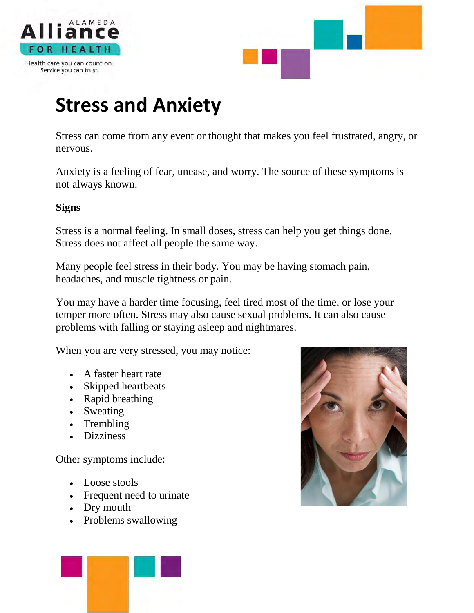



## **Stress and Anxiety**

Stress can come from any event or thought that makes you feel frustrated, angry, or nervous.

Anxiety is a feeling of fear, unease, and worry. The source of these symptoms is not always known.

#### **Signs**

Stress is a normal feeling. In small doses, stress can help you get things done. Stress does not affect all people the same way.

Many people feel stress in their body. You may be having stomach pain, headaches, and muscle tightness or pain.

You may have a harder time focusing, feel tired most of the time, or lose your temper more often. Stress may also cause sexual problems. It can also cause problems with falling or staying asleep and nightmares.

When you are very stressed, you may notice:

- A faster heart rate
- Skipped heartbeats
- Rapid breathing
- Sweating
- Trembling
- Dizziness

Other symptoms include:

- Loose stools
- Frequent need to urinate
- Dry mouth
- Problems swallowing



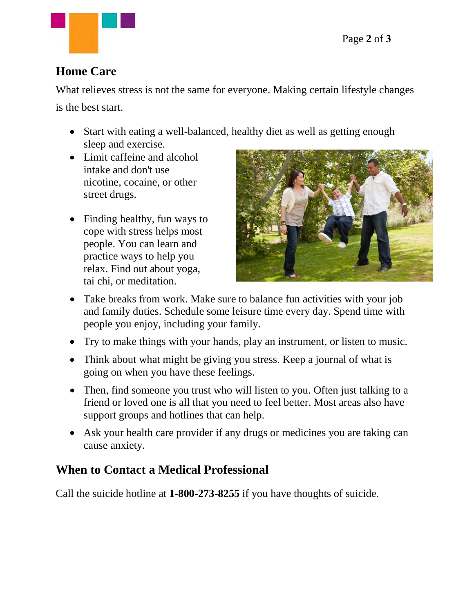

#### **Home Care**

What relieves stress is not the same for everyone. Making certain lifestyle changes

is the best start.

- Start with eating a well-balanced, healthy diet as well as getting enough sleep and exercise.
- Limit caffeine and alcohol intake and don't use nicotine, cocaine, or other street drugs.
- Finding healthy, fun ways to cope with stress helps most people. You can learn and practice ways to help you relax. Find out about yoga, tai chi, or meditation.



- Take breaks from work. Make sure to balance fun activities with your job and family duties. Schedule some leisure time every day. Spend time with people you enjoy, including your family.
- Try to make things with your hands, play an instrument, or listen to music.
- Think about what might be giving you stress. Keep a journal of what is going on when you have these feelings.
- Then, find someone you trust who will listen to you. Often just talking to a friend or loved one is all that you need to feel better. Most areas also have support groups and hotlines that can help.
- Ask your health care provider if any drugs or medicines you are taking can cause anxiety.

## **When to Contact a Medical Professional**

Call the suicide hotline at **1-800-273-8255** if you have thoughts of suicide.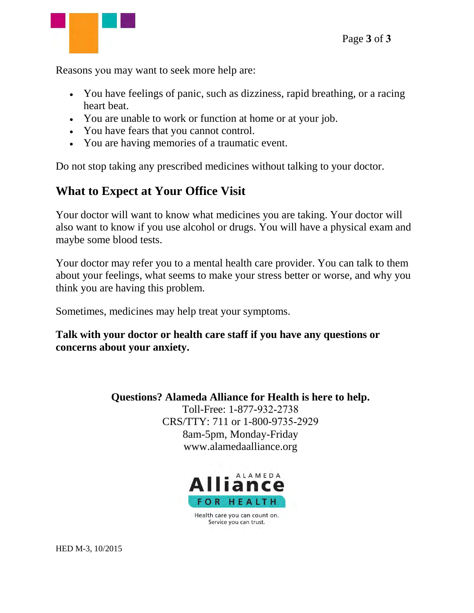Reasons you may want to seek more help are:

- You have feelings of panic, such as dizziness, rapid breathing, or a racing heart beat.
- You are unable to work or function at home or at your job.
- You have fears that you cannot control.
- You are having memories of a traumatic event.

Do not stop taking any prescribed medicines without talking to your doctor.

## **What to Expect at Your Office Visit**

Your doctor will want to know what medicines you are taking. Your doctor will also want to know if you use alcohol or drugs. You will have a physical exam and maybe some blood tests.

Your doctor may refer you to a mental health care provider. You can talk to them about your feelings, what seems to make your stress better or worse, and why you think you are having this problem.

Sometimes, medicines may help treat your symptoms.

**Talk with your doctor or health care staff if you have any questions or concerns about your anxiety.** 

> **Questions? Alameda Alliance for Health is here to help.**  Toll-Free: 1-877-932-2738 CRS/TTY: 711 or 1-800-9735-2929 8am-5pm, Monday-Friday www.alamedaalliance.org



Health care you can count on. Service you can trust.

HED M-3, 10/2015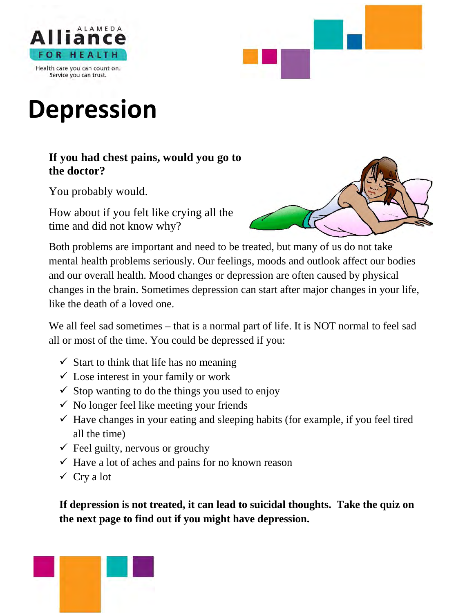



# **Depression**

#### **If you had chest pains, would you go to the doctor?**

You probably would.

How about if you felt like crying all the time and did not know why?



Both problems are important and need to be treated, but many of us do not take mental health problems seriously. Our feelings, moods and outlook affect our bodies and our overall health. Mood changes or depression are often caused by physical changes in the brain. Sometimes depression can start after major changes in your life, like the death of a loved one.

We all feel sad sometimes – that is a normal part of life. It is NOT normal to feel sad all or most of the time. You could be depressed if you:

- $\checkmark$  Start to think that life has no meaning
- $\checkmark$  Lose interest in your family or work
- $\checkmark$  Stop wanting to do the things you used to enjoy
- $\checkmark$  No longer feel like meeting your friends
- $\checkmark$  Have changes in your eating and sleeping habits (for example, if you feel tired all the time)
- $\checkmark$  Feel guilty, nervous or grouchy
- $\checkmark$  Have a lot of aches and pains for no known reason
- $\checkmark$  Cry a lot

**If depression is not treated, it can lead to suicidal thoughts. Take the quiz on the next page to find out if you might have depression.** 

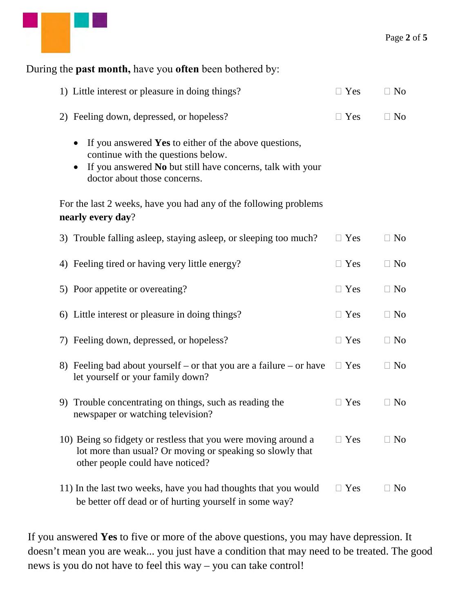

## During the **past month,** have you **often** been bothered by: 1) Little interest or pleasure in doing things?  $\square$  Yes  $\square$  No 2) Feeling down, depressed, or hopeless?  $\Box$  Yes  $\Box$  No • If you answered **Yes** to either of the above questions, continue with the questions below. • If you answered **No** but still have concerns, talk with your doctor about those concerns. For the last 2 weeks, have you had any of the following problems **nearly every day**? 3) Trouble falling asleep, staying asleep, or sleeping too much?  $\Box$  Yes  $\Box$  No 4) Feeling tired or having very little energy?  $\square$  Yes  $\square$  No 5) Poor appetite or overeating?  $\Box$  Yes  $\Box$  No 6) Little interest or pleasure in doing things?  $\square$  Yes  $\square$  No 7) Feeling down, depressed, or hopeless?  $\Box$  Yes  $\Box$  No 8) Feeling bad about yourself – or that you are a failure – or have let yourself or your family down?  $\Box$  Yes  $\Box$  No 9) Trouble concentrating on things, such as reading the newspaper or watching television?  $\Box$  Yes  $\Box$  No 10) Being so fidgety or restless that you were moving around a lot more than usual? Or moving or speaking so slowly that other people could have noticed?  $\Box$  Yes  $\Box$  No 11) In the last two weeks, have you had thoughts that you would  $\Box$  Yes  $\Box$  No

If you answered **Yes** to five or more of the above questions, you may have depression. It doesn't mean you are weak... you just have a condition that may need to be treated. The good news is you do not have to feel this way – you can take control!

be better off dead or of hurting yourself in some way?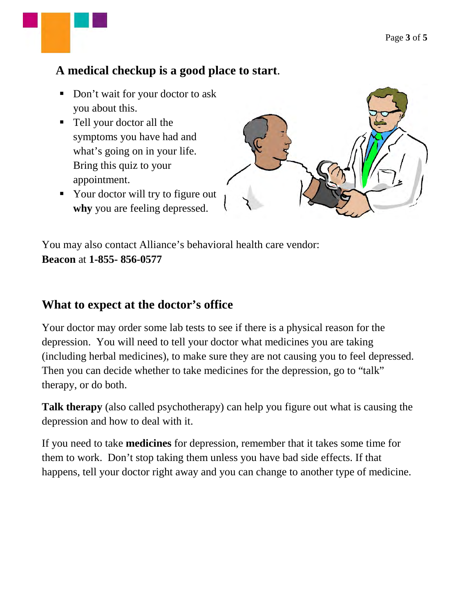#### **A medical checkup is a good place to start**.

- Don't wait for your doctor to ask you about this.
- Tell your doctor all the symptoms you have had and what's going on in your life. Bring this quiz to your appointment.
- Your doctor will try to figure out **why** you are feeling depressed.



You may also contact Alliance's behavioral health care vendor: **Beacon** at **1-855- 856-0577**

#### **What to expect at the doctor's office**

Your doctor may order some lab tests to see if there is a physical reason for the depression. You will need to tell your doctor what medicines you are taking (including herbal medicines), to make sure they are not causing you to feel depressed. Then you can decide whether to take medicines for the depression, go to "talk" therapy, or do both.

**Talk therapy** (also called psychotherapy) can help you figure out what is causing the depression and how to deal with it.

If you need to take **medicines** for depression, remember that it takes some time for them to work. Don't stop taking them unless you have bad side effects. If that happens, tell your doctor right away and you can change to another type of medicine.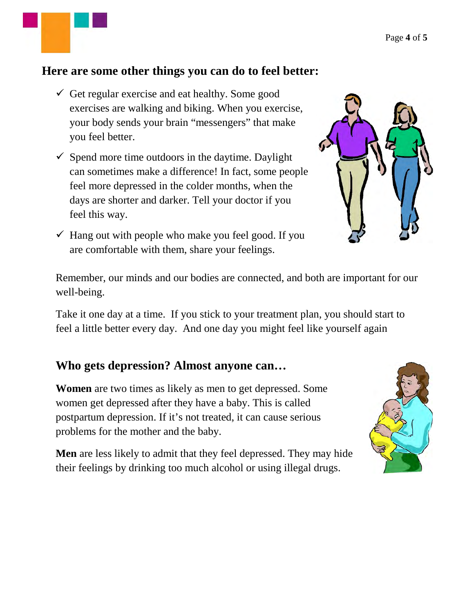#### **Here are some other things you can do to feel better:**

- $\checkmark$  Get regular exercise and eat healthy. Some good exercises are walking and biking. When you exercise, your body sends your brain "messengers" that make you feel better.
- $\checkmark$  Spend more time outdoors in the daytime. Daylight can sometimes make a difference! In fact, some people feel more depressed in the colder months, when the days are shorter and darker. Tell your doctor if you feel this way.
- $\checkmark$  Hang out with people who make you feel good. If you are comfortable with them, share your feelings.



Remember, our minds and our bodies are connected, and both are important for our well-being.

Take it one day at a time. If you stick to your treatment plan, you should start to feel a little better every day. And one day you might feel like yourself again

#### **Who gets depression? Almost anyone can…**

**Women** are two times as likely as men to get depressed. Some women get depressed after they have a baby. This is called postpartum depression. If it's not treated, it can cause serious problems for the mother and the baby.

**Men** are less likely to admit that they feel depressed. They may hide their feelings by drinking too much alcohol or using illegal drugs.

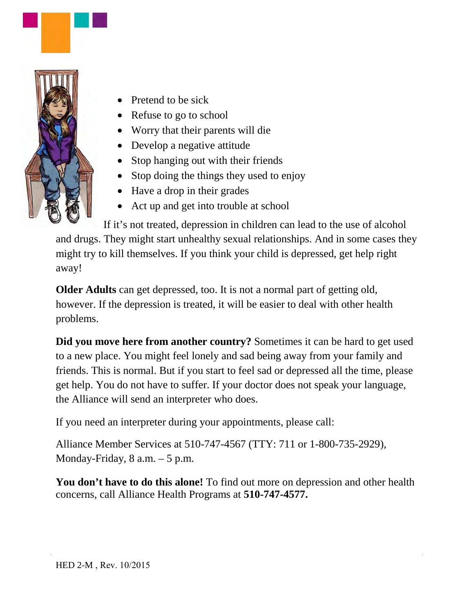

- Pretend to be sick
- Refuse to go to school
- Worry that their parents will die
- Develop a negative attitude
- Stop hanging out with their friends
- Stop doing the things they used to enjoy
- Have a drop in their grades
- Act up and get into trouble at school

If it's not treated, depression in children can lead to the use of alcohol and drugs. They might start unhealthy sexual relationships. And in some cases they might try to kill themselves. If you think your child is depressed, get help right away!

**Older Adults** can get depressed, too. It is not a normal part of getting old, however. If the depression is treated, it will be easier to deal with other health problems.

**Did you move here from another country?** Sometimes it can be hard to get used to a new place. You might feel lonely and sad being away from your family and friends. This is normal. But if you start to feel sad or depressed all the time, please get help. You do not have to suffer. If your doctor does not speak your language, the Alliance will send an interpreter who does.

If you need an interpreter during your appointments, please call:

Alliance Member Services at 510-747-4567 (TTY: 711 or 1-800-735-2929), Monday-Friday,  $8$  a.m.  $-5$  p.m.

You don't have to do this alone! To find out more on depression and other health concerns, call Alliance Health Programs at **510-747-4577.**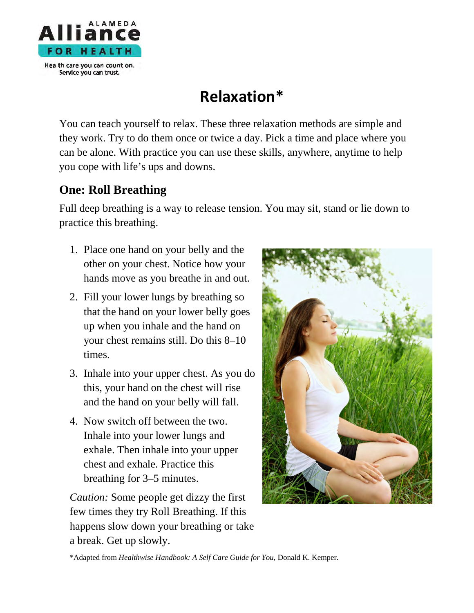

## **Relaxation\***

You can teach yourself to relax. These three relaxation methods are simple and they work. Try to do them once or twice a day. Pick a time and place where you can be alone. With practice you can use these skills, anywhere, anytime to help you cope with life's ups and downs.

#### **One: Roll Breathing**

Full deep breathing is a way to release tension. You may sit, stand or lie down to practice this breathing.

- 1. Place one hand on your belly and the other on your chest. Notice how your hands move as you breathe in and out.
- 2. Fill your lower lungs by breathing so that the hand on your lower belly goes up when you inhale and the hand on your chest remains still. Do this 8–10 times.
- 3. Inhale into your upper chest. As you do this, your hand on the chest will rise and the hand on your belly will fall.
- 4. Now switch off between the two. Inhale into your lower lungs and exhale. Then inhale into your upper chest and exhale. Practice this breathing for 3–5 minutes.

*Caution:* Some people get dizzy the first few times they try Roll Breathing. If this happens slow down your breathing or take a break. Get up slowly.



\*Adapted from *Healthwise Handbook: A Self Care Guide for You*, Donald K. Kemper.